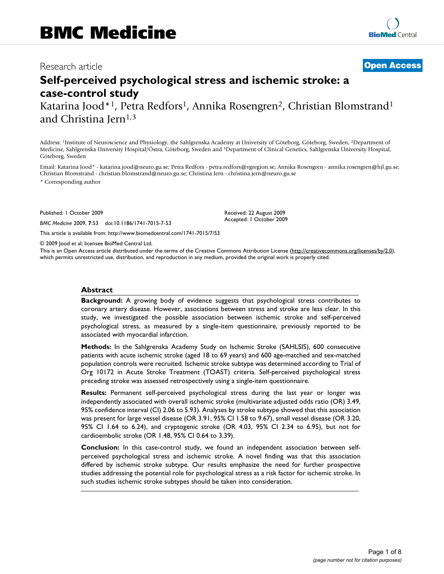## Research article **[Open Access](http://www.biomedcentral.com/info/about/charter/)**

# **Self-perceived psychological stress and ischemic stroke: a case-control study**

Katarina Jood\*<sup>1</sup>, Petra Redfors<sup>1</sup>, Annika Rosengren<sup>2</sup>, Christian Blomstrand<sup>1</sup> and Christina Jern<sup>1,3</sup>

Address: 1Institute of Neuroscience and Physiology, the Sahlgrenska Academy at University of Göteborg, Göteborg, Sweden, 2Department of Medicine, Sahlgrenska University Hospital/Östra, Göteborg, Sweden and 3Department of Clinical Genetics, Sahlgrenska University Hospital, Göteborg, Sweden

Email: Katarina Jood\* - katarina.jood@neuro.gu.se; Petra Redfors - petra.redfors@vgregion.se; Annika Rosengren - annika.rosengren@hjl.gu.se; Christian Blomstrand - christian.blomstrand@neuro.gu.se; Christina Jern - christina.jern@neuro.gu.se

> Received: 22 August 2009 Accepted: 1 October 2009

\* Corresponding author

Published: 1 October 2009

*BMC Medicine* 2009, **7**:53 doi:10.1186/1741-7015-7-53

[This article is available from: http://www.biomedcentral.com/1741-7015/7/53](http://www.biomedcentral.com/1741-7015/7/53)

© 2009 Jood et al; licensee BioMed Central Ltd.

This is an Open Access article distributed under the terms of the Creative Commons Attribution License [\(http://creativecommons.org/licenses/by/2.0\)](http://creativecommons.org/licenses/by/2.0), which permits unrestricted use, distribution, and reproduction in any medium, provided the original work is properly cited.

#### **Abstract**

**Background:** A growing body of evidence suggests that psychological stress contributes to coronary artery disease. However, associations between stress and stroke are less clear. In this study, we investigated the possible association between ischemic stroke and self-perceived psychological stress, as measured by a single-item questionnaire, previously reported to be associated with myocardial infarction.

**Methods:** In the Sahlgrenska Academy Study on Ischemic Stroke (SAHLSIS), 600 consecutive patients with acute ischemic stroke (aged 18 to 69 years) and 600 age-matched and sex-matched population controls were recruited. Ischemic stroke subtype was determined according to Trial of Org 10172 in Acute Stroke Treatment (TOAST) criteria. Self-perceived psychological stress preceding stroke was assessed retrospectively using a single-item questionnaire.

**Results:** Permanent self-perceived psychological stress during the last year or longer was independently associated with overall ischemic stroke (multivariate adjusted odds ratio (OR) 3.49, 95% confidence interval (CI) 2.06 to 5.93). Analyses by stroke subtype showed that this association was present for large vessel disease (OR 3.91, 95% CI 1.58 to 9.67), small vessel disease (OR 3.20, 95% CI 1.64 to 6.24), and cryptogenic stroke (OR 4.03, 95% CI 2.34 to 6.95), but not for cardioembolic stroke (OR 1.48, 95% CI 0.64 to 3.39).

**Conclusion:** In this case-control study, we found an independent association between selfperceived psychological stress and ischemic stroke. A novel finding was that this association differed by ischemic stroke subtype. Our results emphasize the need for further prospective studies addressing the potential role for psychological stress as a risk factor for ischemic stroke. In such studies ischemic stroke subtypes should be taken into consideration.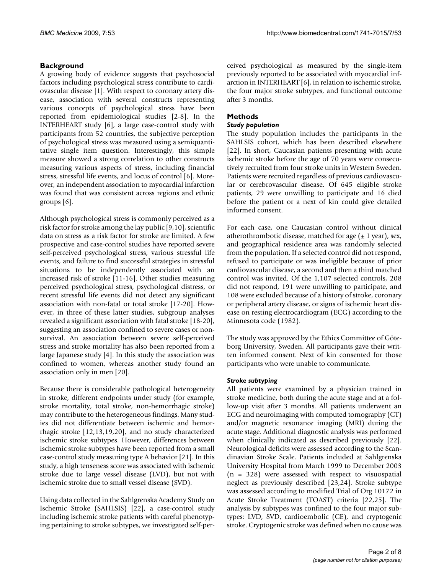## **Background**

A growing body of evidence suggests that psychosocial factors including psychological stress contribute to cardiovascular disease [1]. With respect to coronary artery disease, association with several constructs representing various concepts of psychological stress have been reported from epidemiological studies [2-8]. In the INTERHEART study [6], a large case-control study with participants from 52 countries, the subjective perception of psychological stress was measured using a semiquantitative single item question. Interestingly, this simple measure showed a strong correlation to other constructs measuring various aspects of stress, including financial stress, stressful life events, and locus of control [6]. Moreover, an independent association to myocardial infarction was found that was consistent across regions and ethnic groups [6].

Although psychological stress is commonly perceived as a risk factor for stroke among the lay public [9,10], scientific data on stress as a risk factor for stroke are limited. A few prospective and case-control studies have reported severe self-perceived psychological stress, various stressful life events, and failure to find successful strategies in stressful situations to be independently associated with an increased risk of stroke [11-16]. Other studies measuring perceived psychological stress, psychological distress, or recent stressful life events did not detect any significant association with non-fatal or total stroke [17-20]. However, in three of these latter studies, subgroup analyses revealed a significant association with fatal stroke [18-20], suggesting an association confined to severe cases or nonsurvival. An association between severe self-perceived stress and stroke mortality has also been reported from a large Japanese study [4]. In this study the association was confined to women, whereas another study found an association only in men [20].

Because there is considerable pathological heterogeneity in stroke, different endpoints under study (for example, stroke mortality, total stroke, non-hemorrhagic stroke) may contribute to the heterogeneous findings. Many studies did not differentiate between ischemic and hemorrhagic stroke [12,13,19,20], and no study characterized ischemic stroke subtypes. However, differences between ischemic stroke subtypes have been reported from a small case-control study measuring type A behavior [21]. In this study, a high tenseness score was associated with ischemic stroke due to large vessel disease (LVD), but not with ischemic stroke due to small vessel disease (SVD).

Using data collected in the Sahlgrenska Academy Study on Ischemic Stroke (SAHLSIS) [22], a case-control study including ischemic stroke patients with careful phenotyping pertaining to stroke subtypes, we investigated self-perceived psychological as measured by the single-item previously reported to be associated with myocardial infarction in INTERHEART [6], in relation to ischemic stroke, the four major stroke subtypes, and functional outcome after 3 months.

## **Methods**

#### *Study population*

The study population includes the participants in the SAHLSIS cohort, which has been described elsewhere [22]. In short, Caucasian patients presenting with acute ischemic stroke before the age of 70 years were consecutively recruited from four stroke units in Western Sweden. Patients were recruited regardless of previous cardiovascular or cerebrovascular disease. Of 645 eligible stroke patients, 29 were unwilling to participate and 16 died before the patient or a next of kin could give detailed informed consent.

For each case, one Caucasian control without clinical atherothrombotic disease, matched for age  $(\pm 1 \text{ year})$ , sex, and geographical residence area was randomly selected from the population. If a selected control did not respond, refused to participate or was ineligible because of prior cardiovascular disease, a second and then a third matched control was invited. Of the 1,107 selected controls, 208 did not respond, 191 were unwilling to participate, and 108 were excluded because of a history of stroke, coronary or peripheral artery disease, or signs of ischemic heart disease on resting electrocardiogram (ECG) according to the Minnesota code (1982).

The study was approved by the Ethics Committee of Göteborg University, Sweden. All participants gave their written informed consent. Next of kin consented for those participants who were unable to communicate.

## *Stroke subtyping*

All patients were examined by a physician trained in stroke medicine, both during the acute stage and at a follow-up visit after 3 months. All patients underwent an ECG and neuroimaging with computed tomography (CT) and/or magnetic resonance imaging (MRI) during the acute stage. Additional diagnostic analysis was performed when clinically indicated as described previously [22]. Neurological deficits were assessed according to the Scandinavian Stroke Scale. Patients included at Sahlgrenska University Hospital from March 1999 to December 2003  $(n = 328)$  were assessed with respect to visuospatial neglect as previously described [23,24]. Stroke subtype was assessed according to modified Trial of Org 10172 in Acute Stroke Treatment (TOAST) criteria [22,25]. The analysis by subtypes was confined to the four major subtypes: LVD, SVD, cardioembolic (CE), and cryptogenic stroke. Cryptogenic stroke was defined when no cause was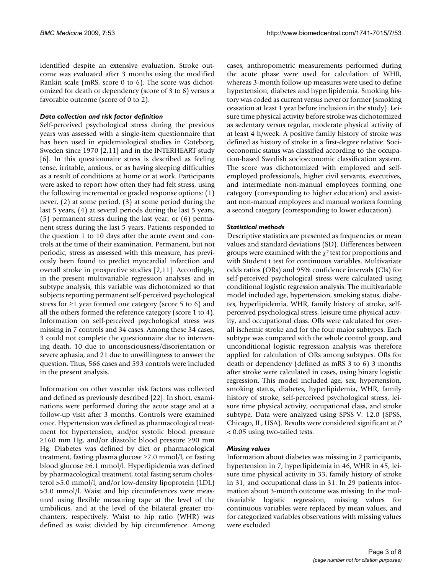identified despite an extensive evaluation. Stroke outcome was evaluated after 3 months using the modified Rankin scale (mRS, score 0 to 6). The score was dichotomized for death or dependency (score of 3 to 6) versus a favorable outcome (score of 0 to 2).

#### *Data collection and risk factor definition*

Self-perceived psychological stress during the previous years was assessed with a single-item questionnaire that has been used in epidemiological studies in Göteborg, Sweden since 1970 [2,11] and in the INTERHEART study [6]. In this questionnaire stress is described as feeling tense, irritable, anxious, or as having sleeping difficulties as a result of conditions at home or at work. Participants were asked to report how often they had felt stress, using the following incremental or graded response options: (1) never, (2) at some period, (3) at some period during the last 5 years, (4) at several periods during the last 5 years, (5) permanent stress during the last year, or (6) permanent stress during the last 5 years. Patients responded to the question 1 to 10 days after the acute event and controls at the time of their examination. Permanent, but not periodic, stress as assessed with this measure, has previously been found to predict myocardial infarction and overall stroke in prospective studies [2,11]. Accordingly, in the present multivariable regression analyses and in subtype analysis, this variable was dichotomized so that subjects reporting permanent self-perceived psychological stress for  $\geq 1$  year formed one category (score 5 to 6) and all the others formed the reference category (score 1 to 4). Information on self-perceived psychological stress was missing in 7 controls and 34 cases. Among these 34 cases, 3 could not complete the questionnaire due to intervening death, 10 due to unconsciousness/disorientation or severe aphasia, and 21 due to unwillingness to answer the question. Thus, 566 cases and 593 controls were included in the present analysis.

Information on other vascular risk factors was collected and defined as previously described [22]. In short, examinations were performed during the acute stage and at a follow-up visit after 3 months. Controls were examined once. Hypertension was defined as pharmacological treatment for hypertension, and/or systolic blood pressure ≥160 mm Hg, and/or diastolic blood pressure ≥90 mm Hg. Diabetes was defined by diet or pharmacological treatment, fasting plasma glucose ≥7.0 mmol/l, or fasting blood glucose ≥6.1 mmol/l. Hyperlipidemia was defined by pharmacological treatment, total fasting serum cholesterol >5.0 mmol/l, and/or low-density lipoprotein (LDL) >3.0 mmol/l. Waist and hip circumferences were measured using flexible measuring tape at the level of the umbilicus, and at the level of the bilateral greater trochanters, respectively. Waist to hip ratio (WHR) was defined as waist divided by hip circumference. Among cases, anthropometric measurements performed during the acute phase were used for calculation of WHR, whereas 3-month follow-up measures were used to define hypertension, diabetes and hyperlipidemia. Smoking history was coded as current versus never or former (smoking cessation at least 1 year before inclusion in the study). Leisure time physical activity before stroke was dichotomized as sedentary versus regular, moderate physical activity of at least 4 h/week. A positive family history of stroke was defined as history of stroke in a first-degree relative. Socioeconomic status was classified according to the occupation-based Swedish socioeconomic classification system. The score was dichotomized with employed and selfemployed professionals, higher civil servants, executives, and intermediate non-manual employees forming one category (corresponding to higher education) and assistant non-manual employees and manual workers forming a second category (corresponding to lower education).

#### *Statistical methods*

Descriptive statistics are presented as frequencies or mean values and standard deviations (SD). Differences between groups were examined with the  $\chi^2$  test for proportions and with Student t test for continuous variables. Multivariate odds ratios (ORs) and 95% confidence intervals (CIs) for self-perceived psychological stress were calculated using conditional logistic regression analysis. The multivariable model included age, hypertension, smoking status, diabetes, hyperlipidemia, WHR, family history of stroke, selfperceived psychological stress, leisure time physical activity, and occupational class. ORs were calculated for overall ischemic stroke and for the four major subtypes. Each subtype was compared with the whole control group, and unconditional logistic regression analysis was therefore applied for calculation of ORs among subtypes. ORs for death or dependency (defined as mRS 3 to 6) 3 months after stroke were calculated in cases, using binary logistic regression. This model included age, sex, hypertension, smoking status, diabetes, hyperlipidemia, WHR, family history of stroke, self-perceived psychological stress, leisure time physical activity, occupational class, and stroke subtype. Data were analyzed using SPSS V. 12.0 (SPSS, Chicago, IL, USA). Results were considered significant at *P* < 0.05 using two-tailed tests.

#### *Missing values*

Information about diabetes was missing in 2 participants, hypertension in 7, hyperlipidemia in 46, WHR in 45, leisure time physical activity in 33, family history of stroke in 31, and occupational class in 31. In 29 patients information about 3-month outcome was missing. In the multivariable logistic regression, missing values for continuous variables were replaced by mean values, and for categorized variables observations with missing values were excluded.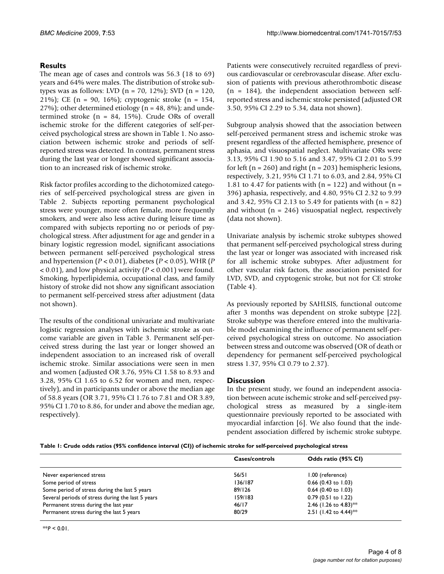## **Results**

The mean age of cases and controls was 56.3 (18 to 69) years and 64% were males. The distribution of stroke subtypes was as follows: LVD ( $n = 70$ , 12%); SVD ( $n = 120$ , 21%); CE (n = 90, 16%); cryptogenic stroke (n = 154, 27%); other determined etiology ( $n = 48$ , 8%); and undetermined stroke (n = 84, 15%). Crude ORs of overall ischemic stroke for the different categories of self-perceived psychological stress are shown in Table 1. No association between ischemic stroke and periods of selfreported stress was detected. In contrast, permanent stress during the last year or longer showed significant association to an increased risk of ischemic stroke.

Risk factor profiles according to the dichotomized categories of self-perceived psychological stress are given in Table 2. Subjects reporting permanent psychological stress were younger, more often female, more frequently smokers, and were also less active during leisure time as compared with subjects reporting no or periods of psychological stress. After adjustment for age and gender in a binary logistic regression model, significant associations between permanent self-perceived psychological stress and hypertension (*P* < 0.01), diabetes (*P* < 0.05), WHR (*P* < 0.01), and low physical activity (*P* < 0.001) were found. Smoking, hyperlipidemia, occupational class, and family history of stroke did not show any significant association to permanent self-perceived stress after adjustment (data not shown).

The results of the conditional univariate and multivariate logistic regression analyses with ischemic stroke as outcome variable are given in Table 3. Permanent self-perceived stress during the last year or longer showed an independent association to an increased risk of overall ischemic stroke. Similar associations were seen in men and women (adjusted OR 3.76, 95% CI 1.58 to 8.93 and 3.28, 95% CI 1.65 to 6.52 for women and men, respectively), and in participants under or above the median age of 58.8 years (OR 3.71, 95% CI 1.76 to 7.81 and OR 3.89, 95% CI 1.70 to 8.86, for under and above the median age, respectively).

Patients were consecutively recruited regardless of previous cardiovascular or cerebrovascular disease. After exclusion of patients with previous atherothrombotic disease  $(n = 184)$ , the independent association between selfreported stress and ischemic stroke persisted (adjusted OR 3.50, 95% CI 2.29 to 5.34, data not shown).

Subgroup analysis showed that the association between self-perceived permanent stress and ischemic stroke was present regardless of the affected hemisphere, presence of aphasia, and visuospatial neglect. Multivariate ORs were 3.13, 95% CI 1.90 to 5.16 and 3.47, 95% CI 2.01 to 5.99 for left ( $n = 260$ ) and right ( $n = 203$ ) hemispheric lesions, respectively, 3.21, 95% CI 1.71 to 6.03, and 2.84, 95% CI 1.81 to 4.47 for patients with  $(n = 122)$  and without  $(n = 122)$ 396) aphasia, respectively, and 4.80, 95% CI 2.32 to 9.99 and 3.42, 95% CI 2.13 to 5.49 for patients with  $(n = 82)$ and without  $(n = 246)$  visuospatial neglect, respectively (data not shown).

Univariate analysis by ischemic stroke subtypes showed that permanent self-perceived psychological stress during the last year or longer was associated with increased risk for all ischemic stroke subtypes. After adjustment for other vascular risk factors, the association persisted for LVD, SVD, and cryptogenic stroke, but not for CE stroke (Table 4).

As previously reported by SAHLSIS, functional outcome after 3 months was dependent on stroke subtype [22]. Stroke subtype was therefore entered into the multivariable model examining the influence of permanent self-perceived psychological stress on outcome. No association between stress and outcome was observed (OR of death or dependency for permanent self-perceived psychological stress 1.37, 95% CI 0.79 to 2.37).

## **Discussion**

In the present study, we found an independent association between acute ischemic stroke and self-perceived psychological stress as measured by a single-item questionnaire previously reported to be associated with myocardial infarction [6]. We also found that the independent association differed by ischemic stroke subtype.

**Table 1: Crude odds ratios (95% confidence interval (CI)) of ischemic stroke for self-perceived psychological stress**

|                                                   | Cases/controls | Odds ratio (95% CI)   |
|---------------------------------------------------|----------------|-----------------------|
| Never experienced stress                          | 56/51          | 1.00 (reference)      |
| Some period of stress                             | 136/187        | $0.66$ (0.43 to 1.03) |
| Some period of stress during the last 5 years     | 89/126         | $0.64$ (0.40 to 1.03) |
| Several periods of stress during the last 5 years | 159/183        | $0.79$ (0.51 to 1.22) |
| Permanent stress during the last year             | 46/17          | 2.46 (1.26 to 4.83)** |
| Permanent stress during the last 5 years          | 80/29          | 2.51 (1.42 to 4.44)** |

 $*$ *P* < 0.01.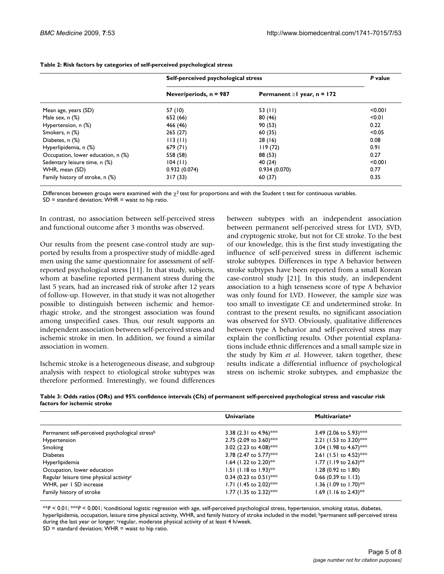|                                    | Self-perceived psychological stress |                                  | P value |
|------------------------------------|-------------------------------------|----------------------------------|---------|
|                                    | Never/periods, $n = 987$            | Permanent $\geq 1$ year, n = 172 |         |
| Mean age, years (SD)               | 57 (10)                             | 53 (11)                          | < 0.001 |
| Male sex, $n$ $(\%)$               | 652 (66)                            | 80(46)                           | < 0.01  |
| Hypertension, n (%)                | 466 (46)                            | 90(53)                           | 0.22    |
| Smokers, n (%)                     | 265(27)                             | 60(35)                           | < 0.05  |
| Diabetes, n (%)                    | 113(11)                             | 28(16)                           | 0.08    |
| Hyperlipidemia, n (%)              | 679 (71)                            | 119(72)                          | 0.91    |
| Occupation, lower education, n (%) | 558 (58)                            | 88 (53)                          | 0.27    |
| Sedentary leisure time, n (%)      | 104 (11)                            | 40 (24)                          | < 0.001 |
| WHR, mean (SD)                     | 0.932(0.074)                        | 0.934(0.070)                     | 0.77    |
| Family history of stroke, n (%)    | 317(33)                             | 60(37)                           | 0.35    |

**Table 2: Risk factors by categories of self-perceived psychological stress**

Differences between groups were examined with the  $\chi^2$  test for proportions and with the Student t test for continuous variables.  $SD =$  standard deviation; WHR = waist to hip ratio.

In contrast, no association between self-perceived stress and functional outcome after 3 months was observed.

Our results from the present case-control study are supported by results from a prospective study of middle-aged men using the same questionnaire for assessment of selfreported psychological stress [11]. In that study, subjects, whom at baseline reported permanent stress during the last 5 years, had an increased risk of stroke after 12 years of follow-up. However, in that study it was not altogether possible to distinguish between ischemic and hemorrhagic stroke, and the strongest association was found among unspecified cases. Thus, our result supports an independent association between self-perceived stress and ischemic stroke in men. In addition, we found a similar association in women.

Ischemic stroke is a heterogeneous disease, and subgroup analysis with respect to etiological stroke subtypes was therefore performed. Interestingly, we found differences

between subtypes with an independent association between permanent self-perceived stress for LVD, SVD, and cryptogenic stroke, but not for CE stroke. To the best of our knowledge, this is the first study investigating the influence of self-perceived stress in different ischemic stroke subtypes. Differences in type A behavior between stroke subtypes have been reported from a small Korean case-control study [21]. In this study, an independent association to a high tenseness score of type A behavior was only found for LVD. However, the sample size was too small to investigate CE and undetermined stroke. In contrast to the present results, no significant association was observed for SVD. Obviously, qualitative differences between type A behavior and self-perceived stress may explain the conflicting results. Other potential explanations include ethnic differences and a small sample size in the study by Kim *et al*. However, taken together, these results indicate a differential influence of psychological stress on ischemic stroke subtypes, and emphasize the

| Table 3: Odds ratios (ORs) and 95% confidence intervals (CIs) of permanent self-perceived psychological stress and vascular risk |  |
|----------------------------------------------------------------------------------------------------------------------------------|--|
| factors for ischemic stroke                                                                                                      |  |

|                                                            | <b>Univariate</b>      | <b>Multivariate<sup>a</sup></b> |
|------------------------------------------------------------|------------------------|---------------------------------|
| Permanent self-perceived psychological stress <sup>b</sup> | 3.38 (2.31 to 4.96)*** | 3.49 (2.06 to 5.93)***          |
| Hypertension                                               | 2.75 (2.09 to 3.60)*** | 2.21 (1.53 to 3.20)***          |
| Smoking                                                    | 3.02 (2.23 to 4.08)*** | 3.04 (1.98 to 4.67)***          |
| <b>Diabetes</b>                                            | 3.78 (2.47 to 5.77)*** | 2.61 (1.51 to 4.52)***          |
| Hyperlipidemia                                             | 1.64 (1.22 to 2.20)**  | 1.77 (1.19 to 2.63)**           |
| Occupation, lower education                                | 1.51 (1.18 to 1.93)**  | 1.28 (0.92 to 1.80)             |
| Regular leisure time physical activity <sup>c</sup>        | 0.34 (0.23 to 0.51)*** | $0.66$ (0.39 to 1.13)           |
| WHR, per I SD increase                                     | 1.71 (1.45 to 2.02)*** | 1.36 (1.09 to 1.70)**           |
| Family history of stroke                                   | 1.77 (1.35 to 2.32)*** | 1.69 (1.16 to 2.43)**           |

\*\**P* < 0.01; \*\*\**P* < 0.001; aconditional logistic regression with age, self-perceived psychological stress, hypertension, smoking status, diabetes, hyperlipidemia, occupation, leisure time physical activity, WHR, and family history of stroke included in the model; bpermanent self-perceived stress during the last year or longer; <sup>c</sup>regular, moderate physical activity of at least 4 h/week.

 $SD =$  standard deviation; WHR = waist to hip ratio.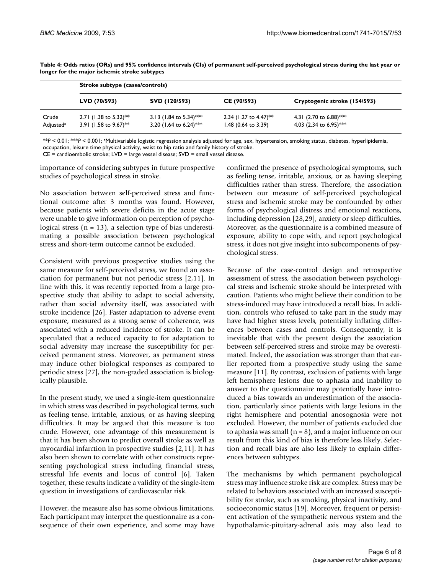|                                | Stroke subtype (cases/controls)                            |                                                  |                                                            |                                                  |  |
|--------------------------------|------------------------------------------------------------|--------------------------------------------------|------------------------------------------------------------|--------------------------------------------------|--|
|                                | LVD (70/593)                                               | SVD (120/593)                                    | CE (90/593)                                                | Cryptogenic stroke (154/593)                     |  |
| Crude<br>Adjusted <sup>a</sup> | 2.71 (1.38 to 5.32) <sup>**</sup><br>3.91 (1.58 to 9.67)** | 3.13 (1.84 to 5.34)***<br>3.20 (1.64 to 6.24)*** | 2.34 (1.27 to 4.47) <sup>**</sup><br>$1.48$ (0.64 to 3.39) | 4.31 (2.70 to 6.88)***<br>4.03 (2.34 to 6.95)*** |  |

**Table 4: Odds ratios (ORs) and 95% confidence intervals (CIs) of permanent self-perceived psychological stress during the last year or longer for the major ischemic stroke subtypes**

\*\**P* < 0.01; \*\*\**P* < 0.001; aMultivariable logistic regression analysis adjusted for age, sex, hypertension, smoking status, diabetes, hyperlipidemia, occupation, leisure time physical activity, waist to hip ratio and family history of stroke.

CE = cardioembolic stroke; LVD = large vessel disease; SVD = small vessel disease.

importance of considering subtypes in future prospective studies of psychological stress in stroke.

No association between self-perceived stress and functional outcome after 3 months was found. However, because patients with severe deficits in the acute stage were unable to give information on perception of psychological stress  $(n = 13)$ , a selection type of bias underestimating a possible association between psychological stress and short-term outcome cannot be excluded.

Consistent with previous prospective studies using the same measure for self-perceived stress, we found an association for permanent but not periodic stress [2,11]. In line with this, it was recently reported from a large prospective study that ability to adapt to social adversity, rather than social adversity itself, was associated with stroke incidence [26]. Faster adaptation to adverse event exposure, measured as a strong sense of coherence, was associated with a reduced incidence of stroke. It can be speculated that a reduced capacity to for adaptation to social adversity may increase the susceptibility for perceived permanent stress. Moreover, as permanent stress may induce other biological responses as compared to periodic stress [27], the non-graded association is biologically plausible.

In the present study, we used a single-item questionnaire in which stress was described in psychological terms, such as feeling tense, irritable, anxious, or as having sleeping difficulties. It may be argued that this measure is too crude. However, one advantage of this measurement is that it has been shown to predict overall stroke as well as myocardial infarction in prospective studies [2,11]. It has also been shown to correlate with other constructs representing psychological stress including financial stress, stressful life events and locus of control [6]. Taken together, these results indicate a validity of the single-item question in investigations of cardiovascular risk.

However, the measure also has some obvious limitations. Each participant may interpret the questionnaire as a consequence of their own experience, and some may have confirmed the presence of psychological symptoms, such as feeling tense, irritable, anxious, or as having sleeping difficulties rather than stress. Therefore, the association between our measure of self-perceived psychological stress and ischemic stroke may be confounded by other forms of psychological distress and emotional reactions, including depression [28,29], anxiety or sleep difficulties. Moreover, as the questionnaire is a combined measure of exposure, ability to cope with, and report psychological stress, it does not give insight into subcomponents of psychological stress.

Because of the case-control design and retrospective assessment of stress, the association between psychological stress and ischemic stroke should be interpreted with caution. Patients who might believe their condition to be stress-induced may have introduced a recall bias. In addition, controls who refused to take part in the study may have had higher stress levels, potentially inflating differences between cases and controls. Consequently, it is inevitable that with the present design the association between self-perceived stress and stroke may be overestimated. Indeed, the association was stronger than that earlier reported from a prospective study using the same measure [11]. By contrast, exclusion of patients with large left hemisphere lesions due to aphasia and inability to answer to the questionnaire may potentially have introduced a bias towards an underestimation of the association, particularly since patients with large lesions in the right hemisphere and potential anosognosia were not excluded. However, the number of patients excluded due to aphasia was small  $(n = 8)$ , and a major influence on our result from this kind of bias is therefore less likely. Selection and recall bias are also less likely to explain differences between subtypes.

The mechanisms by which permanent psychological stress may influence stroke risk are complex. Stress may be related to behaviors associated with an increased susceptibility for stroke, such as smoking, physical inactivity, and socioeconomic status [19]. Moreover, frequent or persistent activation of the sympathetic nervous system and the hypothalamic-pituitary-adrenal axis may also lead to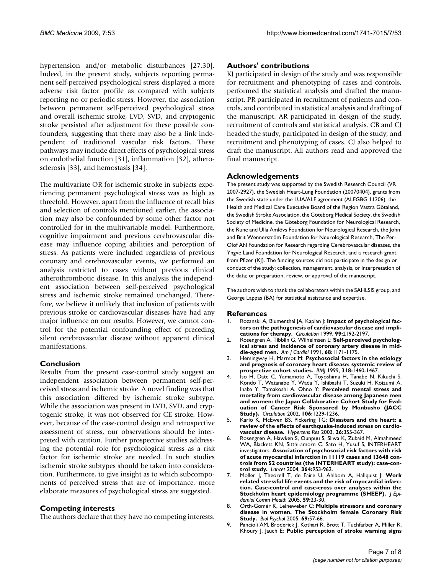hypertension and/or metabolic disturbances [27,30]. Indeed, in the present study, subjects reporting permanent self-perceived psychological stress displayed a more adverse risk factor profile as compared with subjects reporting no or periodic stress. However, the association between permanent self-perceived psychological stress and overall ischemic stroke, LVD, SVD, and cryptogenic stroke persisted after adjustment for these possible confounders, suggesting that there may also be a link independent of traditional vascular risk factors. These pathways may include direct effects of psychological stress on endothelial function [31], inflammation [32], atherosclerosis [33], and hemostasis [34].

The multivariate OR for ischemic stroke in subjects experiencing permanent psychological stress was as high as threefold. However, apart from the influence of recall bias and selection of controls mentioned earlier, the association may also be confounded by some other factor not controlled for in the multivariable model. Furthermore, cognitive impairment and previous cerebrovascular disease may influence coping abilities and perception of stress. As patients were included regardless of previous coronary and cerebrovascular events, we performed an analysis restricted to cases without previous clinical atherothrombotic disease. In this analysis the independent association between self-perceived psychological stress and ischemic stroke remained unchanged. Therefore, we believe it unlikely that inclusion of patients with previous stroke or cardiovascular diseases have had any major influence on our results. However, we cannot control for the potential confounding effect of preceding silent cerebrovascular disease without apparent clinical manifestations.

## **Conclusion**

Results from the present case-control study suggest an independent association between permanent self-perceived stress and ischemic stroke. A novel finding was that this association differed by ischemic stroke subtype. While the association was present in LVD, SVD, and cryptogenic stroke, it was not observed for CE stroke. However, because of the case-control design and retrospective assessment of stress, our observations should be interpreted with caution. Further prospective studies addressing the potential role for psychological stress as a risk factor for ischemic stroke are needed. In such studies ischemic stroke subtypes should be taken into consideration. Furthermore, to give insight as to which subcomponents of perceived stress that are of importance, more elaborate measures of psychological stress are suggested.

#### **Competing interests**

The authors declare that they have no competing interests.

## **Authors' contributions**

KJ participated in design of the study and was responsible for recruitment and phenotyping of cases and controls, performed the statistical analysis and drafted the manuscript. PR participated in recruitment of patients and controls, and contributed in statistical analysis and drafting of the manuscript. AR participated in design of the study, recruitment of controls and statistical analysis. CB and CJ headed the study, participated in design of the study, and recruitment and phenotyping of cases. CJ also helped to draft the manuscript. All authors read and approved the final manuscript.

## **Acknowledgements**

The present study was supported by the Swedish Research Council (VR 2007-2927), the Swedish Heart-Lung Foundation (20070404), grants from the Swedish state under the LUA/ALF agreement (ALFGBG 11206), the Health and Medical Care Executive Board of the Region Västra Götaland, the Swedish Stroke Association, the Göteborg Medical Society, the Swedish Society of Medicine, the Göteborg Foundation for Neurological Research, the Rune and Ulla Amlövs Foundation for Neurological Research, the John and Brit Wennerström Foundation for Neurological Research, The Per-Olof Ahl Foundation for Research regarding Cerebrovascular diseases, the Yngve Land Foundation for Neurological Research, and a research grant from Pfizer (KJ). The funding sources did not participate in the design or conduct of the study; collection, management, analysis, or interpretation of the data; or preparation, review, or approval of the manuscript.

The authors wish to thank the collaborators within the SAHLSIS group, and George Lappas (BA) for statistical assistance and expertise.

#### **References**

- 1. Rozanski A, Blumenthal JA, Kaplan J: **[Impact of psychological fac](http://www.ncbi.nlm.nih.gov/entrez/query.fcgi?cmd=Retrieve&db=PubMed&dopt=Abstract&list_uids=10217662)[tors on the pathogenesis of cardiovascular disease and impli](http://www.ncbi.nlm.nih.gov/entrez/query.fcgi?cmd=Retrieve&db=PubMed&dopt=Abstract&list_uids=10217662)[cations for therapy.](http://www.ncbi.nlm.nih.gov/entrez/query.fcgi?cmd=Retrieve&db=PubMed&dopt=Abstract&list_uids=10217662)** *Circulation* 1999, **99:**2192-2197.
- 2. Rosengren A, Tibblin G, Wilhelmsen L: **[Self-perceived psycholog](http://www.ncbi.nlm.nih.gov/entrez/query.fcgi?cmd=Retrieve&db=PubMed&dopt=Abstract&list_uids=1951076)[ical stress and incidence of coronary artery disease in mid](http://www.ncbi.nlm.nih.gov/entrez/query.fcgi?cmd=Retrieve&db=PubMed&dopt=Abstract&list_uids=1951076)[dle-aged men.](http://www.ncbi.nlm.nih.gov/entrez/query.fcgi?cmd=Retrieve&db=PubMed&dopt=Abstract&list_uids=1951076)** *Am J Cardiol* 1991, **68:**1171-1175.
- 3. Hemingway H, Marmot M: **[Psychosocial factors in the etiology](http://www.ncbi.nlm.nih.gov/entrez/query.fcgi?cmd=Retrieve&db=PubMed&dopt=Abstract&list_uids=10346775) [and prognosis of coronary heart disease: systemic review of](http://www.ncbi.nlm.nih.gov/entrez/query.fcgi?cmd=Retrieve&db=PubMed&dopt=Abstract&list_uids=10346775) [prospective cohort studies.](http://www.ncbi.nlm.nih.gov/entrez/query.fcgi?cmd=Retrieve&db=PubMed&dopt=Abstract&list_uids=10346775)** *BMJ* 1999, **318:**1460-1467.
- 4. Iso H, Date C, Yamamoto A, Toyoshima H, Tanabe N, Kikuchi S, Kondo T, Watanabe Y, Wada Y, Ishibashi T, Suzuki H, Koizumi A, Inaba Y, Tamakoshi A, Ohno Y: **[Perceived mental stress and](http://www.ncbi.nlm.nih.gov/entrez/query.fcgi?cmd=Retrieve&db=PubMed&dopt=Abstract&list_uids=12208798) [mortality from cardiovascular disease among Japanese men](http://www.ncbi.nlm.nih.gov/entrez/query.fcgi?cmd=Retrieve&db=PubMed&dopt=Abstract&list_uids=12208798) and women: the Japan Collaborative Cohort Study for Evaluation of Cancer Risk Sponsored by Monbusho (JACC [Study\).](http://www.ncbi.nlm.nih.gov/entrez/query.fcgi?cmd=Retrieve&db=PubMed&dopt=Abstract&list_uids=12208798)** *Circulation* 2002, **106:**1229-1236.
- 5. Kario K, McEwen BS, Pickering TG: **[Disasters and the heart: a](http://www.ncbi.nlm.nih.gov/entrez/query.fcgi?cmd=Retrieve&db=PubMed&dopt=Abstract&list_uids=12887126) [review of the effects of earthquake-induced stress on cardio](http://www.ncbi.nlm.nih.gov/entrez/query.fcgi?cmd=Retrieve&db=PubMed&dopt=Abstract&list_uids=12887126)[vascular disease.](http://www.ncbi.nlm.nih.gov/entrez/query.fcgi?cmd=Retrieve&db=PubMed&dopt=Abstract&list_uids=12887126)** *Hypertens Res* 2003, **26:**355-367.
- 6. Rosengren A, Hawken S, Ounpuu S, Sliwa K, Zubaid M, Almahmeed WA, Blackett KN, Sitthi-amorn C, Sato H, Yusuf S, INTERHEART investigators: **[Association of psychosocial risk factors with risk](http://www.ncbi.nlm.nih.gov/entrez/query.fcgi?cmd=Retrieve&db=PubMed&dopt=Abstract&list_uids=15364186) [of acute myocardial infarction in 11119 cases and 13648 con](http://www.ncbi.nlm.nih.gov/entrez/query.fcgi?cmd=Retrieve&db=PubMed&dopt=Abstract&list_uids=15364186)trols from 52 countries (the INTERHEART study): case-con[trol study.](http://www.ncbi.nlm.nih.gov/entrez/query.fcgi?cmd=Retrieve&db=PubMed&dopt=Abstract&list_uids=15364186)** *Lancet* 2004, **364:**953-962.
- 7. Moller J, Theorell T, de Faire U, Ahlbom A, Hallquist J: **Work related stressful life events and the risk of myocardial infarction. Case-control and case-cross over analyses within the Stockholm heart epidemiology programme (SHEEP).** *J Epidemiol Comm Health* 2005, **59:**23-30.
- 8. Orth-Gomér K, Leineweber C: **[Multiple stressors and coronary](http://www.ncbi.nlm.nih.gov/entrez/query.fcgi?cmd=Retrieve&db=PubMed&dopt=Abstract&list_uids=15740825) [disease in women. The Stockholm female Coronary Risk](http://www.ncbi.nlm.nih.gov/entrez/query.fcgi?cmd=Retrieve&db=PubMed&dopt=Abstract&list_uids=15740825) [Study.](http://www.ncbi.nlm.nih.gov/entrez/query.fcgi?cmd=Retrieve&db=PubMed&dopt=Abstract&list_uids=15740825)** *Biol Psychol* 2005, **69:**57-66.
- 9. Pancioli AM, Broderick J, Kothari R, Brott T, Tuchfarber A, Miller R, Khoury J, Jauch E: **[Public perception of stroke warning signs](http://www.ncbi.nlm.nih.gov/entrez/query.fcgi?cmd=Retrieve&db=PubMed&dopt=Abstract&list_uids=9565010)**